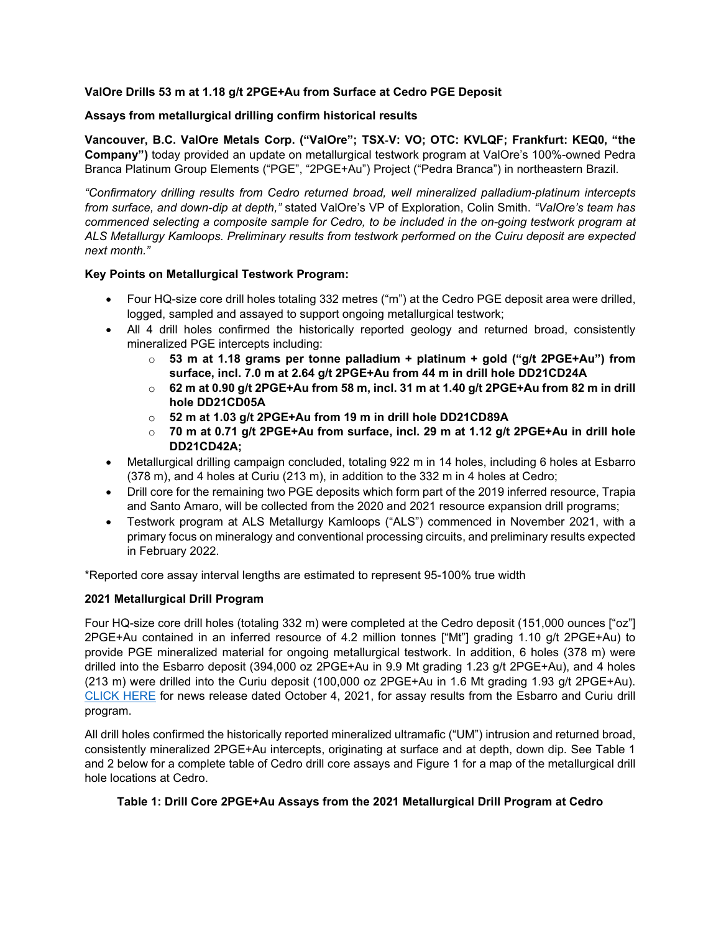### **ValOre Drills 53 m at 1.18 g/t 2PGE+Au from Surface at Cedro PGE Deposit**

#### **Assays from metallurgical drilling confirm historical results**

**Vancouver, B.C. ValOre Metals Corp. ("ValOre"; TSX**‐**V: VO; OTC: KVLQF; Frankfurt: KEQ0, "the Company")** today provided an update on metallurgical testwork program at ValOre's 100%-owned Pedra Branca Platinum Group Elements ("PGE", "2PGE+Au") Project ("Pedra Branca") in northeastern Brazil.

*"Confirmatory drilling results from Cedro returned broad, well mineralized palladium-platinum intercepts from surface, and down-dip at depth,"* stated ValOre's VP of Exploration, Colin Smith. *"ValOre's team has commenced selecting a composite sample for Cedro, to be included in the on-going testwork program at ALS Metallurgy Kamloops. Preliminary results from testwork performed on the Cuiru deposit are expected next month."*

#### **Key Points on Metallurgical Testwork Program:**

- Four HQ-size core drill holes totaling 332 metres ("m") at the Cedro PGE deposit area were drilled, logged, sampled and assayed to support ongoing metallurgical testwork;
- All 4 drill holes confirmed the historically reported geology and returned broad, consistently mineralized PGE intercepts including:
	- o **53 m at 1.18 grams per tonne palladium + platinum + gold ("g/t 2PGE+Au") from surface, incl. 7.0 m at 2.64 g/t 2PGE+Au from 44 m in drill hole DD21CD24A**
	- o **62 m at 0.90 g/t 2PGE+Au from 58 m, incl. 31 m at 1.40 g/t 2PGE+Au from 82 m in drill hole DD21CD05A**
	- o **52 m at 1.03 g/t 2PGE+Au from 19 m in drill hole DD21CD89A**
	- o **70 m at 0.71 g/t 2PGE+Au from surface, incl. 29 m at 1.12 g/t 2PGE+Au in drill hole DD21CD42A;**
- Metallurgical drilling campaign concluded, totaling 922 m in 14 holes, including 6 holes at Esbarro (378 m), and 4 holes at Curiu (213 m), in addition to the 332 m in 4 holes at Cedro;
- Drill core for the remaining two PGE deposits which form part of the 2019 inferred resource, Trapia and Santo Amaro, will be collected from the 2020 and 2021 resource expansion drill programs;
- Testwork program at ALS Metallurgy Kamloops ("ALS") commenced in November 2021, with a primary focus on mineralogy and conventional processing circuits, and preliminary results expected in February 2022.

\*Reported core assay interval lengths are estimated to represent 95-100% true width

### **2021 Metallurgical Drill Program**

Four HQ-size core drill holes (totaling 332 m) were completed at the Cedro deposit (151,000 ounces ["oz"] 2PGE+Au contained in an inferred resource of 4.2 million tonnes ["Mt"] grading 1.10 g/t 2PGE+Au) to provide PGE mineralized material for ongoing metallurgical testwork. In addition, 6 holes (378 m) were drilled into the Esbarro deposit (394,000 oz 2PGE+Au in 9.9 Mt grading 1.23 g/t 2PGE+Au), and 4 holes (213 m) were drilled into the Curiu deposit (100,000 oz 2PGE+Au in 1.6 Mt grading 1.93 g/t 2PGE+Au). [CLICK HERE](http://www.valoremetals.com/news-media/news-releases/2021/valore-pge-assays-from-metallurgical-drilling-at-pedra-branca-confirm-historical-drilling-averages-in-curiu-and-esbarro-zones) for news release dated October 4, 2021, for assay results from the Esbarro and Curiu drill program.

All drill holes confirmed the historically reported mineralized ultramafic ("UM") intrusion and returned broad, consistently mineralized 2PGE+Au intercepts, originating at surface and at depth, down dip. See Table 1 and 2 below for a complete table of Cedro drill core assays and Figure 1 for a map of the metallurgical drill hole locations at Cedro.

### **Table 1: Drill Core 2PGE+Au Assays from the 2021 Metallurgical Drill Program at Cedro**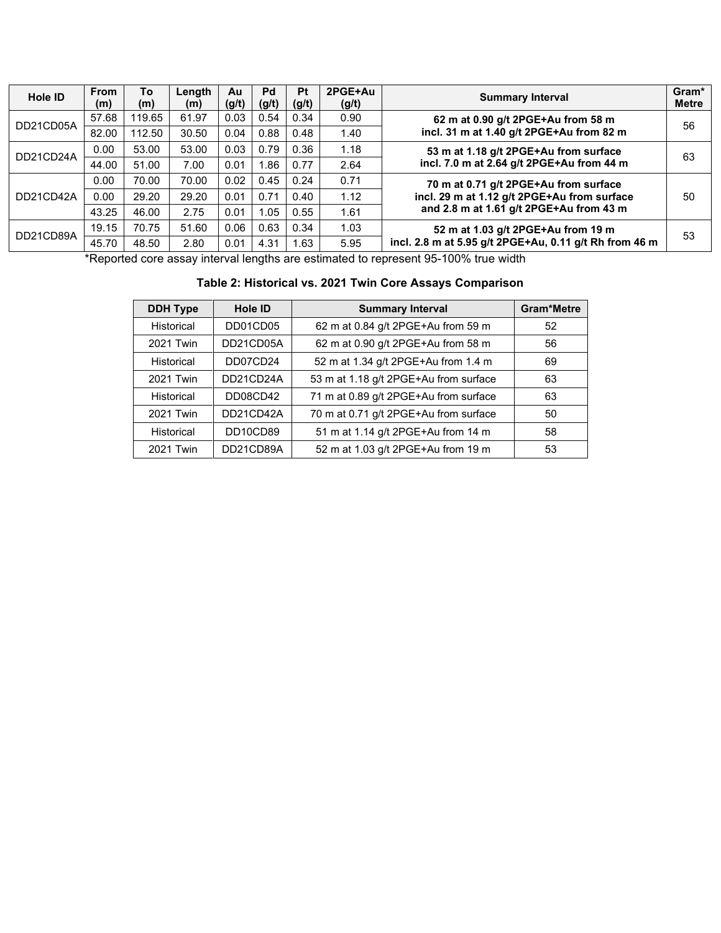| Hole ID   | <b>From</b><br>(m)                                     | To<br>(m)                             | Length<br>(m) | Au<br>(g/t) | Pd<br>(g/t) | <b>Pt</b><br>(g/t) | 2PGE+Au<br>(g/t)                           | <b>Summary Interval</b>                                | Gram*<br><b>Metre</b> |
|-----------|--------------------------------------------------------|---------------------------------------|---------------|-------------|-------------|--------------------|--------------------------------------------|--------------------------------------------------------|-----------------------|
| DD21CD05A | 57.68                                                  | 119.65                                | 61.97         | 0.03        | 0.54        | 0.34               | 0.90<br>62 m at 0.90 g/t 2PGE+Au from 58 m |                                                        | 56                    |
|           | 82.00                                                  | 112.50                                | 30.50         | 0.04        | 0.88        | 0.48               | 1.40                                       | incl. 31 m at 1.40 g/t 2PGE+Au from 82 m               |                       |
| DD21CD24A | 0.00                                                   | 53.00                                 | 53.00         | 0.03        | 0.79        | 0.36               | 1.18                                       | 53 m at 1.18 g/t 2PGE+Au from surface                  | 63                    |
|           | 44.00                                                  | 51.00                                 | 7.00          | 0.01        | .86         | 0.77               | 2.64                                       | incl. 7.0 m at 2.64 g/t 2PGE+Au from 44 m              |                       |
|           | 0.02<br>0.71<br>70.00<br>70.00<br>0.45<br>0.24<br>0.00 | 70 m at 0.71 g/t 2PGE+Au from surface |               |             |             |                    |                                            |                                                        |                       |
| DD21CD42A | 0.00                                                   | 29.20                                 | 29.20         | 0.01        | 0.71        | 0.40               | 1.12                                       | incl. 29 m at 1.12 g/t 2PGE+Au from surface            |                       |
|           | 43.25                                                  | 46.00                                 | 2.75          | 0.01        | 1.05        | 0.55               | 1.61                                       | and 2.8 m at 1.61 g/t 2PGE+Au from 43 m                |                       |
| DD21CD89A | 19.15                                                  | 70.75                                 | 51.60         | 0.06        | 0.63        | 0.34               | 1.03                                       | 52 m at 1.03 g/t 2PGE+Au from 19 m                     | 53                    |
|           | 45.70                                                  | 48.50                                 | 2.80          | 0.01        | 4.31        | 1.63               | 5.95                                       | incl. 2.8 m at 5.95 g/t 2PGE+Au, 0.11 g/t Rh from 46 m |                       |

\*Reported core assay interval lengths are estimated to represent 95-100% true width

# **Table 2: Historical vs. 2021 Twin Core Assays Comparison**

| <b>DDH Type</b>   | <b>Hole ID</b> | <b>Summary Interval</b>               | <b>Gram*Metre</b> |
|-------------------|----------------|---------------------------------------|-------------------|
| Historical        | DD01CD05       | 62 m at 0.84 g/t 2PGE+Au from 59 m    | 52                |
| 2021 Twin         | DD21CD05A      | 62 m at 0.90 g/t 2PGE+Au from 58 m    | 56                |
| <b>Historical</b> | DD07CD24       | 52 m at 1.34 g/t 2PGE+Au from 1.4 m   | 69                |
| 2021 Twin         | DD21CD24A      | 53 m at 1.18 g/t 2PGE+Au from surface | 63                |
| <b>Historical</b> | DD08CD42       | 71 m at 0.89 g/t 2PGE+Au from surface | 63                |
| 2021 Twin         | DD21CD42A      | 70 m at 0.71 g/t 2PGE+Au from surface | 50                |
| Historical        | DD10CD89       | 51 m at 1.14 g/t 2PGE+Au from 14 m    | 58                |
| 2021 Twin         | DD21CD89A      | 52 m at 1.03 g/t 2PGE+Au from 19 m    | 53                |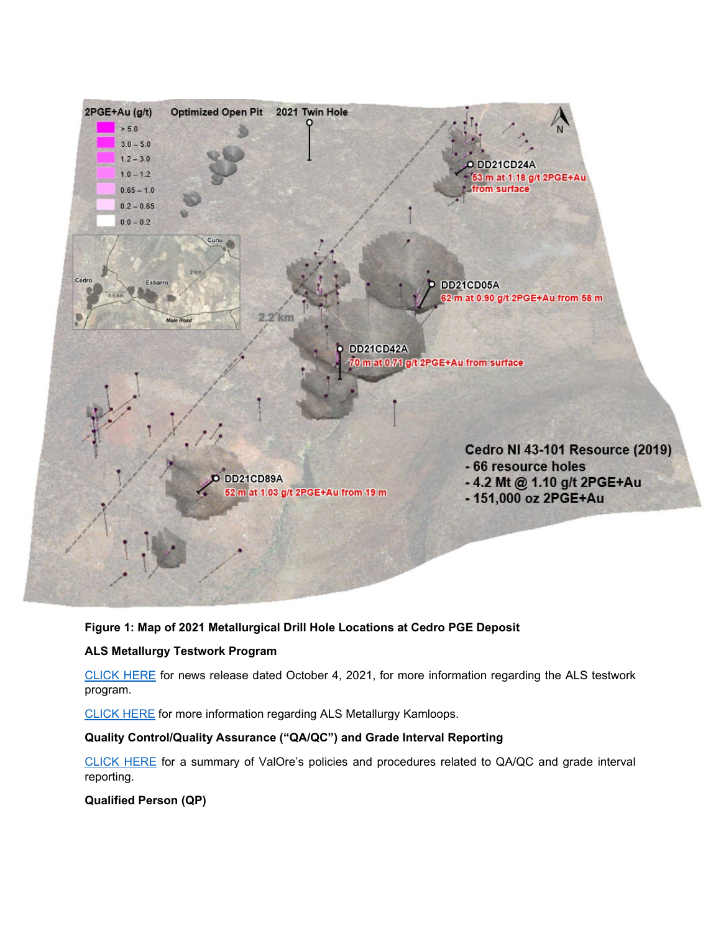

# **Figure 1: Map of 2021 Metallurgical Drill Hole Locations at Cedro PGE Deposit**

## **ALS Metallurgy Testwork Program**

[CLICK HERE](http://www.valoremetals.com/news-media/news-releases/2021/valore-pge-assays-from-metallurgical-drilling-at-pedra-branca-confirm-historical-drilling-averages-in-curiu-and-esbarro-zones) for news release dated October 4, 2021, for more information regarding the ALS testwork program.

[CLICK HERE](https://www.alsglobal.com/en-ca/locations/americas/north-america/canada/british-columbia/kamloops-metallurgy) for more information regarding ALS Metallurgy Kamloops.

## **Quality Control/Quality Assurance ("QA/QC") and Grade Interval Reporting**

[CLICK HERE](http://valoremetals.com/news-media/news-releases/2020/valore-announces-initial-drill-results-from-pedra-branca-including-10-gt-2pgeau-over-528-metres-from-surface) for a summary of ValOre's policies and procedures related to QA/QC and grade interval reporting.

# **Qualified Person (QP)**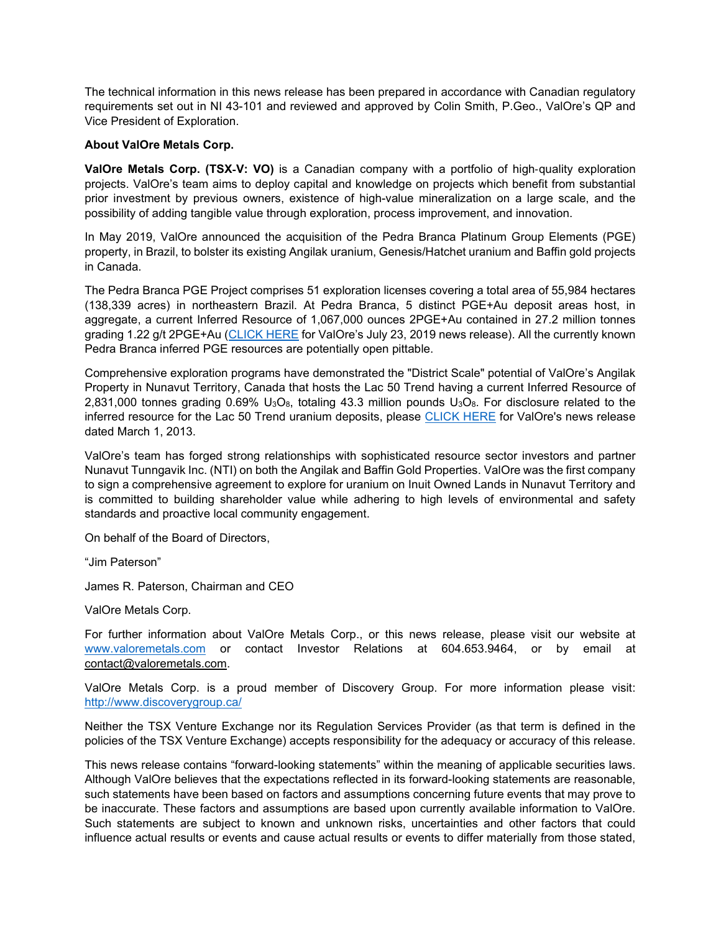The technical information in this news release has been prepared in accordance with Canadian regulatory requirements set out in NI 43-101 and reviewed and approved by Colin Smith, P.Geo., ValOre's QP and Vice President of Exploration.

#### **About ValOre Metals Corp.**

**ValOre Metals Corp. (TSX**‐**V: VO)** is a Canadian company with a portfolio of high‐quality exploration projects. ValOre's team aims to deploy capital and knowledge on projects which benefit from substantial prior investment by previous owners, existence of high-value mineralization on a large scale, and the possibility of adding tangible value through exploration, process improvement, and innovation.

In May 2019, ValOre announced the acquisition of the Pedra Branca Platinum Group Elements (PGE) property, in Brazil, to bolster its existing Angilak uranium, Genesis/Hatchet uranium and Baffin gold projects in Canada.

The Pedra Branca PGE Project comprises 51 exploration licenses covering a total area of 55,984 hectares (138,339 acres) in northeastern Brazil. At Pedra Branca, 5 distinct PGE+Au deposit areas host, in aggregate, a current Inferred Resource of 1,067,000 ounces 2PGE+Au contained in 27.2 million tonnes grading 1.22 g/t 2PGE+Au [\(CLICK HERE](http://valoremetals.com/news-media/news-releases/2019/valore-files-technical-report-for-pedra-branca-pgm-project) for ValOre's July 23, 2019 news release). All the currently known Pedra Branca inferred PGE resources are potentially open pittable.

Comprehensive exploration programs have demonstrated the "District Scale" potential of ValOre's Angilak Property in Nunavut Territory, Canada that hosts the Lac 50 Trend having a current Inferred Resource of 2,831,000 tonnes grading 0.69% U<sub>3</sub>O<sub>8</sub>, totaling 43.3 million pounds U<sub>3</sub>O<sub>8</sub>. For disclosure related to the inferred resource for the Lac 50 Trend uranium deposits, please [CLICK HERE](http://valoremetals.com/news-media/news-releases/archive/index.php?content_id=144) for ValOre's news release dated March 1, 2013.

ValOre's team has forged strong relationships with sophisticated resource sector investors and partner Nunavut Tunngavik Inc. (NTI) on both the Angilak and Baffin Gold Properties. ValOre was the first company to sign a comprehensive agreement to explore for uranium on Inuit Owned Lands in Nunavut Territory and is committed to building shareholder value while adhering to high levels of environmental and safety standards and proactive local community engagement.

On behalf of the Board of Directors,

"Jim Paterson"

James R. Paterson, Chairman and CEO

ValOre Metals Corp.

For further information about ValOre Metals Corp., or this news release, please visit our website at [www.valoremetals.com](http://www.valoremetals.com/) or contact Investor Relations at 604.653.9464, or by email at [contact@valoremetals.com.](mailto:contact@valoremetals.com)

ValOre Metals Corp. is a proud member of Discovery Group. For more information please visit: <http://www.discoverygroup.ca/>

Neither the TSX Venture Exchange nor its Regulation Services Provider (as that term is defined in the policies of the TSX Venture Exchange) accepts responsibility for the adequacy or accuracy of this release.

This news release contains "forward-looking statements" within the meaning of applicable securities laws. Although ValOre believes that the expectations reflected in its forward-looking statements are reasonable, such statements have been based on factors and assumptions concerning future events that may prove to be inaccurate. These factors and assumptions are based upon currently available information to ValOre. Such statements are subject to known and unknown risks, uncertainties and other factors that could influence actual results or events and cause actual results or events to differ materially from those stated,